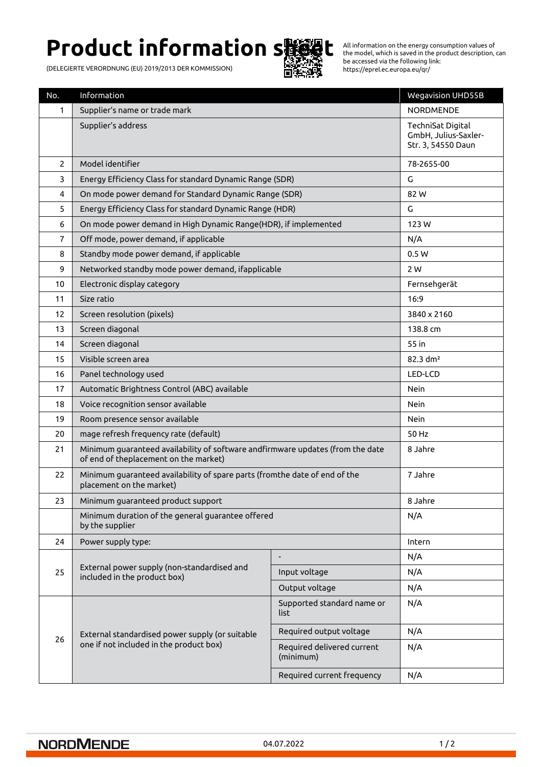# **Product information s機健**

(DELEGIERTE VERORDNUNG (EU) 2019/2013 DER KOMMISSION)



All information on the energy consumption values of the model, which is saved in the product description, can be accessed via the following link: https://eprel.ec.europa.eu/qr/

| No.            | Information                                                                                                             |                                         | <b>Wegavision UHD55B</b>                                        |
|----------------|-------------------------------------------------------------------------------------------------------------------------|-----------------------------------------|-----------------------------------------------------------------|
| 1              | Supplier's name or trade mark                                                                                           |                                         | <b>NORDMENDE</b>                                                |
|                | Supplier's address                                                                                                      |                                         | TechniSat Digital<br>GmbH, Julius-Saxler-<br>Str. 3, 54550 Daun |
| $\overline{2}$ | Model identifier                                                                                                        |                                         | 78-2655-00                                                      |
| 3              | Energy Efficiency Class for standard Dynamic Range (SDR)                                                                |                                         | G                                                               |
| $\overline{4}$ | On mode power demand for Standard Dynamic Range (SDR)                                                                   |                                         | 82 W                                                            |
| 5              | Energy Efficiency Class for standard Dynamic Range (HDR)                                                                |                                         | G                                                               |
| 6              | On mode power demand in High Dynamic Range(HDR), if implemented                                                         |                                         | 123W                                                            |
| $\overline{7}$ | Off mode, power demand, if applicable                                                                                   |                                         | N/A                                                             |
| 8              | Standby mode power demand, if applicable                                                                                |                                         | 0.5W                                                            |
| 9              | Networked standby mode power demand, ifapplicable                                                                       |                                         | 2 W                                                             |
| 10             | Electronic display category                                                                                             |                                         | Fernsehgerät                                                    |
| 11             | Size ratio                                                                                                              |                                         | 16:9                                                            |
| 12             | Screen resolution (pixels)                                                                                              |                                         | 3840 x 2160                                                     |
| 13             | Screen diagonal                                                                                                         |                                         | 138.8 cm                                                        |
| 14             | Screen diagonal                                                                                                         |                                         | 55 in                                                           |
| 15             | Visible screen area                                                                                                     |                                         | 82.3 dm <sup>2</sup>                                            |
| 16             | Panel technology used                                                                                                   |                                         | LED-LCD                                                         |
| 17             | Automatic Brightness Control (ABC) available                                                                            |                                         | <b>Nein</b>                                                     |
| 18             | Voice recognition sensor available                                                                                      |                                         | <b>Nein</b>                                                     |
| 19             | Room presence sensor available                                                                                          |                                         | <b>Nein</b>                                                     |
| 20             | mage refresh frequency rate (default)                                                                                   |                                         | 50 Hz                                                           |
| 21             | Minimum guaranteed availability of software andfirmware updates (from the date<br>of end of theplacement on the market) |                                         | 8 Jahre                                                         |
| 22             | Minimum quaranteed availability of spare parts (fromthe date of end of the<br>placement on the market)                  |                                         | 7 Jahre                                                         |
| 23             | Minimum guaranteed product support                                                                                      |                                         | 8 Jahre                                                         |
|                | Minimum duration of the general guarantee offered<br>by the supplier                                                    |                                         | N/A                                                             |
| 24             | Power supply type:                                                                                                      |                                         | Intern                                                          |
|                |                                                                                                                         |                                         | N/A                                                             |
| 25             | External power supply (non-standardised and<br>included in the product box)                                             | Input voltage                           | N/A                                                             |
|                |                                                                                                                         | Output voltage                          | N/A                                                             |
| 26             | External standardised power supply (or suitable<br>one if not included in the product box)                              | Supported standard name or<br>list      | N/A                                                             |
|                |                                                                                                                         | Required output voltage                 | N/A                                                             |
|                |                                                                                                                         | Required delivered current<br>(minimum) | N/A                                                             |
|                |                                                                                                                         | Required current frequency              | N/A                                                             |